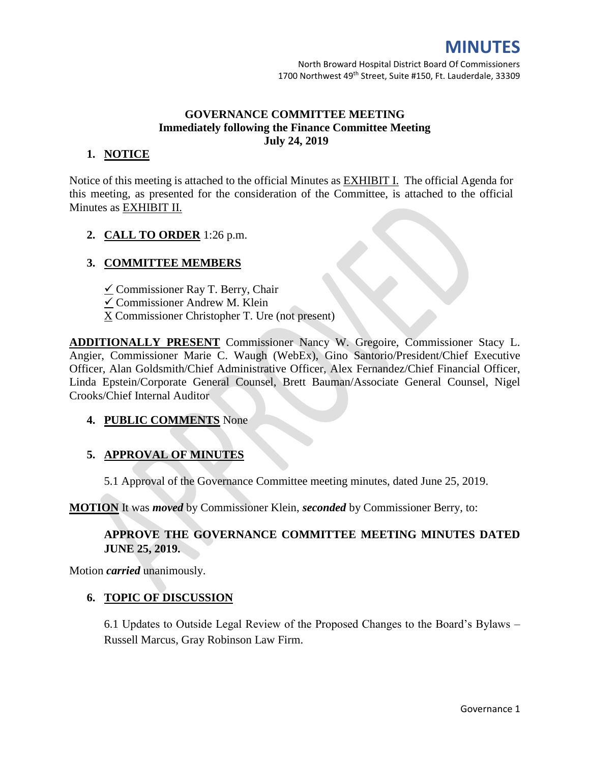# **MINUTES**

# **GOVERNANCE COMMITTEE MEETING Immediately following the Finance Committee Meeting July 24, 2019**

## **1. NOTICE**

Notice of this meeting is attached to the official Minutes as EXHIBIT I. The official Agenda for this meeting, as presented for the consideration of the Committee, is attached to the official Minutes as EXHIBIT II.

## **2. CALL TO ORDER** 1:26 p.m.

## **3. COMMITTEE MEMBERS**

- $\angle$  Commissioner Ray T. Berry, Chair
- Commissioner Andrew M. Klein
- X Commissioner Christopher T. Ure (not present)

**ADDITIONALLY PRESENT** Commissioner Nancy W. Gregoire, Commissioner Stacy L. Angier, Commissioner Marie C. Waugh (WebEx), Gino Santorio/President/Chief Executive Officer, Alan Goldsmith/Chief Administrative Officer, Alex Fernandez/Chief Financial Officer, Linda Epstein/Corporate General Counsel, Brett Bauman/Associate General Counsel, Nigel Crooks/Chief Internal Auditor

#### **4. PUBLIC COMMENTS** None

# **5. APPROVAL OF MINUTES**

5.1 Approval of the Governance Committee meeting minutes, dated June 25, 2019.

**MOTION** It was *moved* by Commissioner Klein, *seconded* by Commissioner Berry, to:

# **APPROVE THE GOVERNANCE COMMITTEE MEETING MINUTES DATED JUNE 25, 2019.**

Motion *carried* unanimously.

#### **6. TOPIC OF DISCUSSION**

6.1 Updates to Outside Legal Review of the Proposed Changes to the Board's Bylaws – Russell Marcus, Gray Robinson Law Firm.